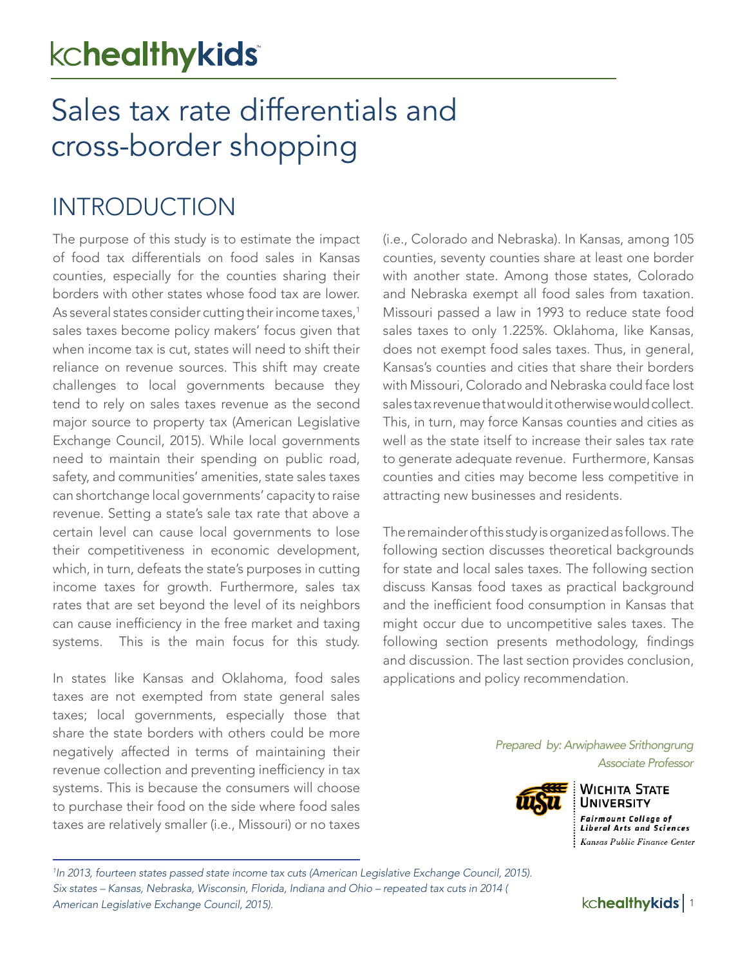# kchealthykids

# Sales tax rate differentials and cross-border shopping

### INTRODUCTION

The purpose of this study is to estimate the impact of food tax differentials on food sales in Kansas counties, especially for the counties sharing their borders with other states whose food tax are lower. As several states consider cutting their income taxes,<sup>1</sup> sales taxes become policy makers' focus given that when income tax is cut, states will need to shift their reliance on revenue sources. This shift may create challenges to local governments because they tend to rely on sales taxes revenue as the second major source to property tax (American Legislative Exchange Council, 2015). While local governments need to maintain their spending on public road, safety, and communities' amenities, state sales taxes can shortchange local governments' capacity to raise revenue. Setting a state's sale tax rate that above a certain level can cause local governments to lose their competitiveness in economic development, which, in turn, defeats the state's purposes in cutting income taxes for growth. Furthermore, sales tax rates that are set beyond the level of its neighbors can cause inefficiency in the free market and taxing systems. This is the main focus for this study.

In states like Kansas and Oklahoma, food sales taxes are not exempted from state general sales taxes; local governments, especially those that share the state borders with others could be more negatively affected in terms of maintaining their revenue collection and preventing inefficiency in tax systems. This is because the consumers will choose to purchase their food on the side where food sales taxes are relatively smaller (i.e., Missouri) or no taxes

(i.e., Colorado and Nebraska). In Kansas, among 105 counties, seventy counties share at least one border with another state. Among those states, Colorado and Nebraska exempt all food sales from taxation. Missouri passed a law in 1993 to reduce state food sales taxes to only 1.225%. Oklahoma, like Kansas, does not exempt food sales taxes. Thus, in general, Kansas's counties and cities that share their borders with Missouri, Colorado and Nebraska could face lost sales tax revenue that would it otherwise would collect. This, in turn, may force Kansas counties and cities as well as the state itself to increase their sales tax rate to generate adequate revenue. Furthermore, Kansas counties and cities may become less competitive in attracting new businesses and residents.

The remainder of this study is organized as follows. The following section discusses theoretical backgrounds for state and local sales taxes. The following section discuss Kansas food taxes as practical background and the inefficient food consumption in Kansas that might occur due to uncompetitive sales taxes. The following section presents methodology, findings and discussion. The last section provides conclusion, applications and policy recommendation.

> *Prepared by: Arwiphawee Srithongrung Associate Professor*



**WICHITA STATE UNIVERSITY Fairmount College of Liberal Arts and Sciences** Kansas Public Finance Center

*<sup>1</sup> In 2013, fourteen states passed state income tax cuts (American Legislative Exchange Council, 2015). Six states – Kansas, Nebraska, Wisconsin, Florida, Indiana and Ohio – repeated tax cuts in 2014 ( American Legislative Exchange Council, 2015).* 1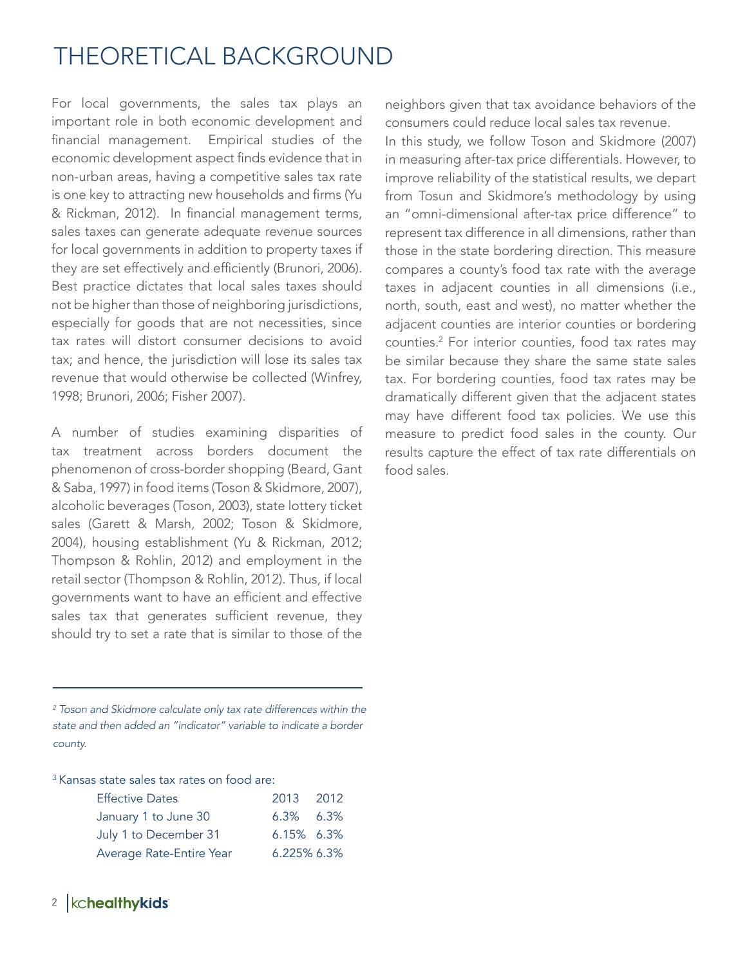## THEORETICAL BACKGROUND

For local governments, the sales tax plays an important role in both economic development and financial management. Empirical studies of the economic development aspect finds evidence that in non-urban areas, having a competitive sales tax rate is one key to attracting new households and firms (Yu & Rickman, 2012). In financial management terms, sales taxes can generate adequate revenue sources for local governments in addition to property taxes if they are set effectively and efficiently (Brunori, 2006). Best practice dictates that local sales taxes should not be higher than those of neighboring jurisdictions, especially for goods that are not necessities, since tax rates will distort consumer decisions to avoid tax; and hence, the jurisdiction will lose its sales tax revenue that would otherwise be collected (Winfrey, 1998; Brunori, 2006; Fisher 2007).

A number of studies examining disparities of tax treatment across borders document the phenomenon of cross-border shopping (Beard, Gant & Saba, 1997) in food items (Toson & Skidmore, 2007), alcoholic beverages (Toson, 2003), state lottery ticket sales (Garett & Marsh, 2002; Toson & Skidmore, 2004), housing establishment (Yu & Rickman, 2012; Thompson & Rohlin, 2012) and employment in the retail sector (Thompson & Rohlin, 2012). Thus, if local governments want to have an efficient and effective sales tax that generates sufficient revenue, they should try to set a rate that is similar to those of the

*2 Toson and Skidmore calculate only tax rate differences within the state and then added an "indicator" variable to indicate a border county.*

<sup>3</sup> Kansas state sales tax rates on food are:

| <b>Effective Dates</b>   | 2013 2012        |  |
|--------------------------|------------------|--|
| January 1 to June 30     | $6.3\%$ $6.3\%$  |  |
| July 1 to December 31    | $6.15\%$ $6.3\%$ |  |
| Average Rate-Entire Year | $6.225\%$ 6.3%   |  |

neighbors given that tax avoidance behaviors of the consumers could reduce local sales tax revenue. In this study, we follow Toson and Skidmore (2007) in measuring after-tax price differentials. However, to improve reliability of the statistical results, we depart from Tosun and Skidmore's methodology by using an "omni-dimensional after-tax price difference" to represent tax difference in all dimensions, rather than those in the state bordering direction. This measure compares a county's food tax rate with the average taxes in adjacent counties in all dimensions (i.e., north, south, east and west), no matter whether the adjacent counties are interior counties or bordering counties.2 For interior counties, food tax rates may be similar because they share the same state sales tax. For bordering counties, food tax rates may be dramatically different given that the adjacent states may have different food tax policies. We use this measure to predict food sales in the county. Our results capture the effect of tax rate differentials on food sales.

### <sup>2</sup> | kchealthykids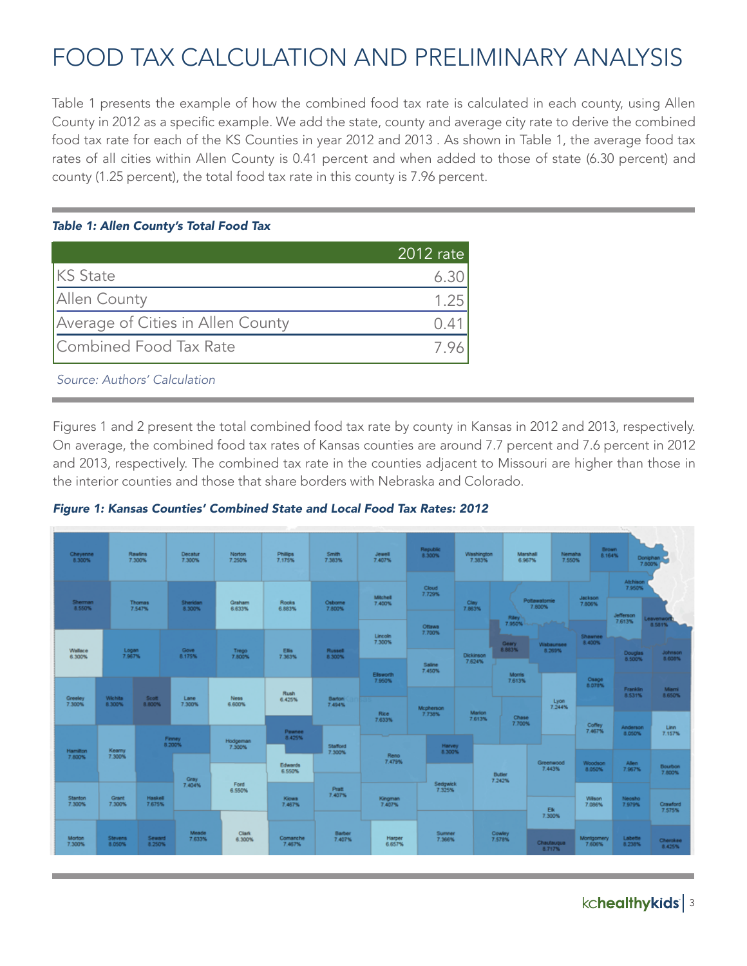## FOOD TAX CALCULATION AND PRELIMINARY ANALYSIS

Table 1 presents the example of how the combined food tax rate is calculated in each county, using Allen County in 2012 as a specific example. We add the state, county and average city rate to derive the combined food tax rate for each of the KS Counties in year 2012 and 2013 . As shown in Table 1, the average food tax rates of all cities within Allen County is 0.41 percent and when added to those of state (6.30 percent) and county (1.25 percent), the total food tax rate in this county is 7.96 percent.

#### *Table 1: Allen County's Total Food Tax*

|                                   | 2012 rate |
|-----------------------------------|-----------|
| <b>KS</b> State                   |           |
| <b>Allen County</b>               | 1.25      |
| Average of Cities in Allen County |           |
| Combined Food Tax Rate            |           |

*Source: Authors' Calculation*

Figures 1 and 2 present the total combined food tax rate by county in Kansas in 2012 and 2013, respectively. On average, the combined food tax rates of Kansas counties are around 7.7 percent and 7.6 percent in 2012 and 2013, respectively. The combined tax rate in the counties adjacent to Missouri are higher than those in the interior counties and those that share borders with Nebraska and Colorado.



| Cheyenne<br>8.300%        |                   | Rawlins<br>7.300%        | Decatur<br>7.300%  | Norton<br>7.250%      | <b>Philips</b><br>7.175%           | <b>Smith</b><br>7.383%  | Jewell<br>7.407%          | Republic<br>8.300%  | Washington<br>7.383%       | Marshall<br>6.967%                                     |                                      | Brown<br>Nemaha<br>8.164%<br>7.550% | <b>None</b>                                             | Doniphan C<br>7.800%             |
|---------------------------|-------------------|--------------------------|--------------------|-----------------------|------------------------------------|-------------------------|---------------------------|---------------------|----------------------------|--------------------------------------------------------|--------------------------------------|-------------------------------------|---------------------------------------------------------|----------------------------------|
| Sherman<br>8.550%         |                   | Thomas<br>7.547%         | Sheridan<br>8.300% | Graham<br>6.633%      | Rooks<br>6.883%                    | Osbome<br>7.800%        | <b>Mitchell</b><br>7.400% | Cloud<br>7.729%     | Clay<br>7.863%             |                                                        | Pottewatomie<br>7.800%               | <b>Jackson</b><br>7.806%            | Atchison<br>7.950%                                      |                                  |
|                           |                   |                          | Gove               |                       |                                    |                         | Lincoln<br>7.300%         | Ottawa<br>7.700%    |                            | Riley <sup>1</sup><br>7.950%<br><b>Geary</b><br>8.883% | <b>CONTRACTOR</b><br>Wabaunsee       | Shawnee<br>8.400%                   | Jefferson<br>7.613%                                     | eavenwort<br>8.581%              |
| Wallace<br>6.300%         | Logan<br>7.967%   |                          | 8.175%             | Trego<br>7.800%       | Elis<br>7.363%                     | Russell<br>8.300%       | Ellsworth<br>7.950%       | Saline<br>7.450%    | <b>Dickinson</b><br>7.624% | <b>Montis</b><br>7,613%                                | 8.269%                               | Osage<br>8.078%                     | Douglas<br>8.500%<br><b>Franklin</b>                    | <b>Johnson</b><br>8.608%<br>Mami |
| Greeley<br>7.300%         | Wichita<br>8.300% | Scott<br>8.800%          | Lane<br>7.300%     | <b>Ness</b><br>6.600% | Rush<br>6.425%                     | <b>Barton</b><br>7.494% | Rice<br>7.633%            | Mcpherson<br>7.738% | <b>Marion</b><br>7.613%    | Chase<br>7.700%                                        | Lyon<br>7.244%                       | Coffey                              | 8.531%<br>Anderson                                      | 8.650%<br>Linn                   |
| <b>Hamilton</b><br>7.800% | Keamy<br>7.300%   |                          | Finney<br>8.200%   | Hodgeman<br>7.300%    | Paunee<br>8.425%<br><b>Edwards</b> | Stafford<br>7.300%      | Reno<br>7.479%            | Harvey<br>8.300%    |                            |                                                        | Greenwood<br>7.443%                  | 7.467%<br>Woodson<br>8.050%         | 8.050%<br>Allen<br>7.967%                               | 7.157%<br>Bourbon                |
| <b>Stanton</b><br>7.300%  | Grant<br>7.300%   | <b>Haskell</b><br>7.675% | Gray<br>7.404%     | Ford<br>6.550%        | 6.550%<br>Kiowa<br>7.467%          | Pratt<br>7.407%         | Kingman<br>7.407%         | Sedgwick<br>7.325%  |                            | <b>Butler</b><br>7.242%                                |                                      | Wilson<br>7.086%                    | Neosho<br>7.979%                                        | 7.800%<br>Crawford               |
| Morton<br>7.300%          | Stevens<br>8.050% | Seward<br>8.250%         | Meade<br>7.633%    | Clark<br>6.300%       | Comanche<br>7.467%                 | Barber<br>7.407%        | Harper<br>6.657%          | Summer<br>7.366%    |                            | Cowley<br>7.578%                                       | Ek<br>7.300%<br>Chautauqua<br>8.717% | Montgomery<br>7.606%                | $\begin{array}{c} \text{Labels} \\ 0.238\% \end{array}$ | 7.575%<br>Cherokee<br>8.425%     |

kchealthykids | 3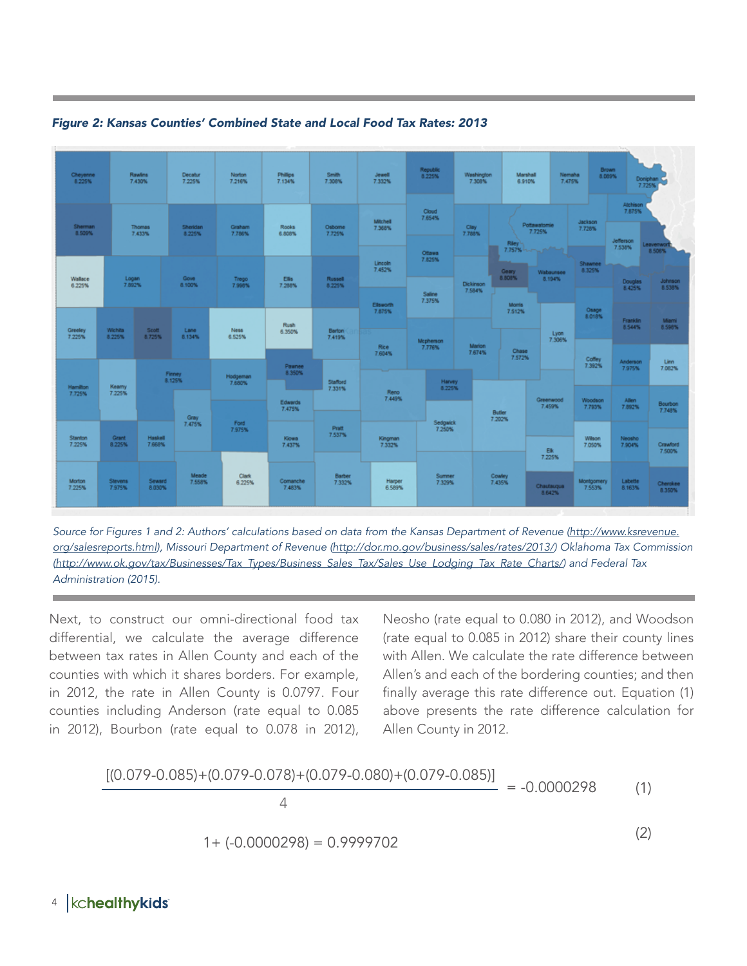

*Figure 2: Kansas Counties' Combined State and Local Food Tax Rates: 2013*

*Source for Figures 1 and 2: Authors' calculations based on data from the Kansas Department of Revenue (http://www.ksrevenue. org/salesreports.html), Missouri Department of Revenue (http://dor.mo.gov/business/sales/rates/2013/) Oklahoma Tax Commission (http://www.ok.gov/tax/Businesses/Tax\_Types/Business\_Sales\_Tax/Sales\_Use\_Lodging\_Tax\_Rate\_Charts/) and Federal Tax Administration (2015).* 

Next, to construct our omni-directional food tax differential, we calculate the average difference between tax rates in Allen County and each of the counties with which it shares borders. For example, in 2012, the rate in Allen County is 0.0797. Four counties including Anderson (rate equal to 0.085 in 2012), Bourbon (rate equal to 0.078 in 2012),

Neosho (rate equal to 0.080 in 2012), and Woodson (rate equal to 0.085 in 2012) share their county lines with Allen. We calculate the rate difference between Allen's and each of the bordering counties; and then finally average this rate difference out. Equation (1) above presents the rate difference calculation for Allen County in 2012.

$$
\frac{[(0.079 - 0.085) + (0.079 - 0.078) + (0.079 - 0.080) + (0.079 - 0.085)]}{4}
$$
 = -0.0000298 (1)  
1+ (-0.0000298) = 0.9999702

#### kchealthykids 4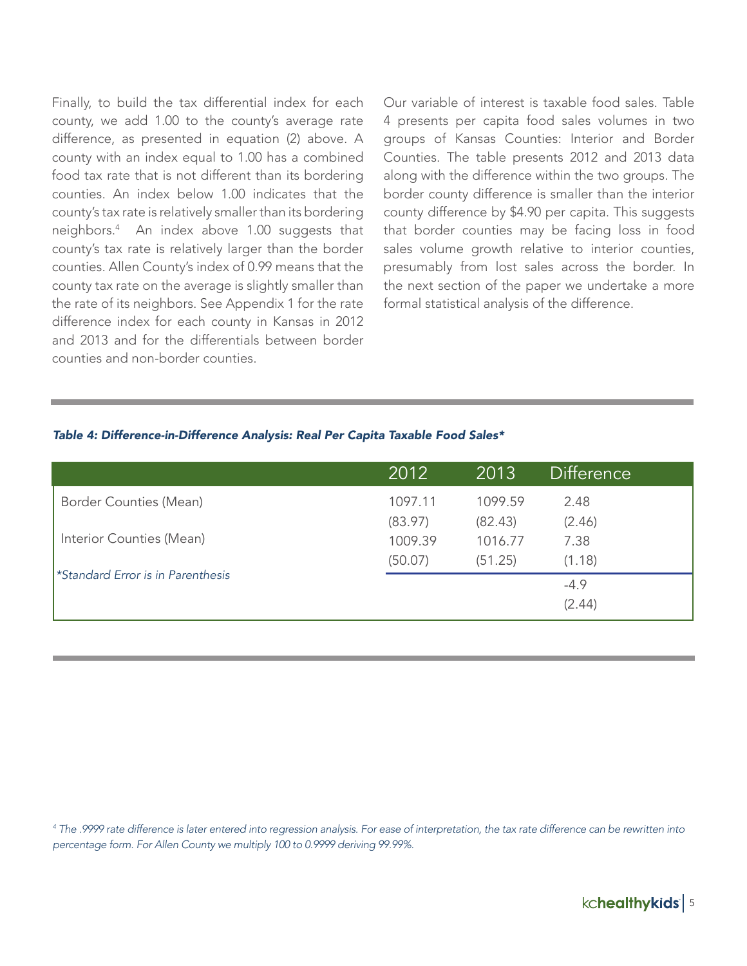Finally, to build the tax differential index for each county, we add 1.00 to the county's average rate difference, as presented in equation (2) above. A county with an index equal to 1.00 has a combined food tax rate that is not different than its bordering counties. An index below 1.00 indicates that the county's tax rate is relatively smaller than its bordering neighbors.4 An index above 1.00 suggests that county's tax rate is relatively larger than the border counties. Allen County's index of 0.99 means that the county tax rate on the average is slightly smaller than the rate of its neighbors. See Appendix 1 for the rate difference index for each county in Kansas in 2012 and 2013 and for the differentials between border counties and non-border counties.

Our variable of interest is taxable food sales. Table 4 presents per capita food sales volumes in two groups of Kansas Counties: Interior and Border Counties. The table presents 2012 and 2013 data along with the difference within the two groups. The border county difference is smaller than the interior county difference by \$4.90 per capita. This suggests that border counties may be facing loss in food sales volume growth relative to interior counties, presumably from lost sales across the border. In the next section of the paper we undertake a more formal statistical analysis of the difference.

#### *Table 4: Difference-in-Difference Analysis: Real Per Capita Taxable Food Sales\**

|                                                 | 2012    | 2013    | <b>Difference</b> |
|-------------------------------------------------|---------|---------|-------------------|
| Border Counties (Mean)                          | 1097.11 | 1099.59 | 2.48              |
|                                                 | (83.97) | (82.43) | (2.46)            |
| Interior Counties (Mean)                        | 1009.39 | 1016.77 | 7.38              |
|                                                 | (50.07) | (51.25) | (1.18)            |
| <i><b>*Standard Error is in Parenthesis</b></i> |         |         | $-4.9$            |
|                                                 |         |         | (2.44)            |

*4 The .9999 rate difference is later entered into regression analysis. For ease of interpretation, the tax rate difference can be rewritten into percentage form. For Allen County we multiply 100 to 0.9999 deriving 99.99%.*

kchealthykids | 5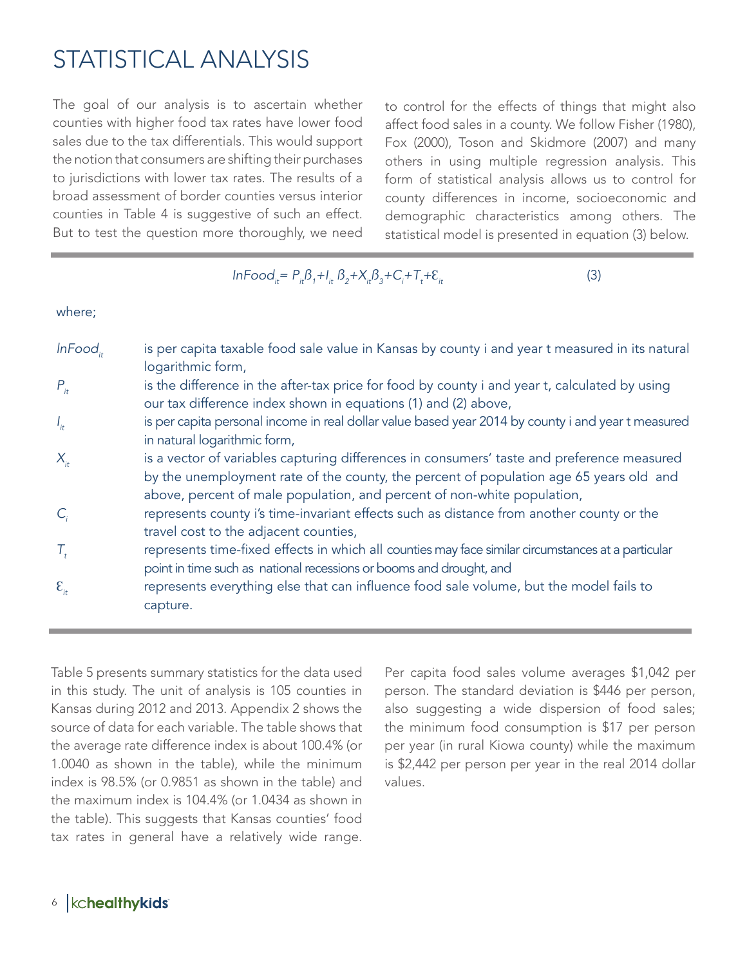### STATISTICAL ANALYSIS

The goal of our analysis is to ascertain whether counties with higher food tax rates have lower food sales due to the tax differentials. This would support the notion that consumers are shifting their purchases to jurisdictions with lower tax rates. The results of a broad assessment of border counties versus interior counties in Table 4 is suggestive of such an effect. But to test the question more thoroughly, we need

to control for the effects of things that might also affect food sales in a county. We follow Fisher (1980), Fox (2000), Toson and Skidmore (2007) and many others in using multiple regression analysis. This form of statistical analysis allows us to control for county differences in income, socioeconomic and demographic characteristics among others. The statistical model is presented in equation (3) below.

 $InFood_{it} = P_{it}B_i + I_{it}B_2 + X_{it}B_3 + C_i + T_{it}$  $+ \varepsilon$ <sub>it</sub> (3)

where;

| InFood,            | is per capita taxable food sale value in Kansas by county i and year t measured in its natural<br>logarithmic form,                                                                                                                                             |
|--------------------|-----------------------------------------------------------------------------------------------------------------------------------------------------------------------------------------------------------------------------------------------------------------|
| $P_{it}$           | is the difference in the after-tax price for food by county i and year t, calculated by using<br>our tax difference index shown in equations (1) and (2) above,                                                                                                 |
| $I_{it}$           | is per capita personal income in real dollar value based year 2014 by county i and year t measured<br>in natural logarithmic form,                                                                                                                              |
| $X_{it}$           | is a vector of variables capturing differences in consumers' taste and preference measured<br>by the unemployment rate of the county, the percent of population age 65 years old and<br>above, percent of male population, and percent of non-white population, |
| $C_{i}$            | represents county i's time-invariant effects such as distance from another county or the<br>travel cost to the adjacent counties,                                                                                                                               |
| $\mathcal{T}_{t}$  | represents time-fixed effects in which all counties may face similar circumstances at a particular<br>point in time such as national recessions or booms and drought, and                                                                                       |
| $\mathcal{E}_{it}$ | represents everything else that can influence food sale volume, but the model fails to<br>capture.                                                                                                                                                              |

Table 5 presents summary statistics for the data used in this study. The unit of analysis is 105 counties in Kansas during 2012 and 2013. Appendix 2 shows the source of data for each variable. The table shows that the average rate difference index is about 100.4% (or 1.0040 as shown in the table), while the minimum index is 98.5% (or 0.9851 as shown in the table) and the maximum index is 104.4% (or 1.0434 as shown in the table). This suggests that Kansas counties' food tax rates in general have a relatively wide range.

Per capita food sales volume averages \$1,042 per person. The standard deviation is \$446 per person, also suggesting a wide dispersion of food sales; the minimum food consumption is \$17 per person per year (in rural Kiowa county) while the maximum is \$2,442 per person per year in the real 2014 dollar values.

### 6 | kchealthykids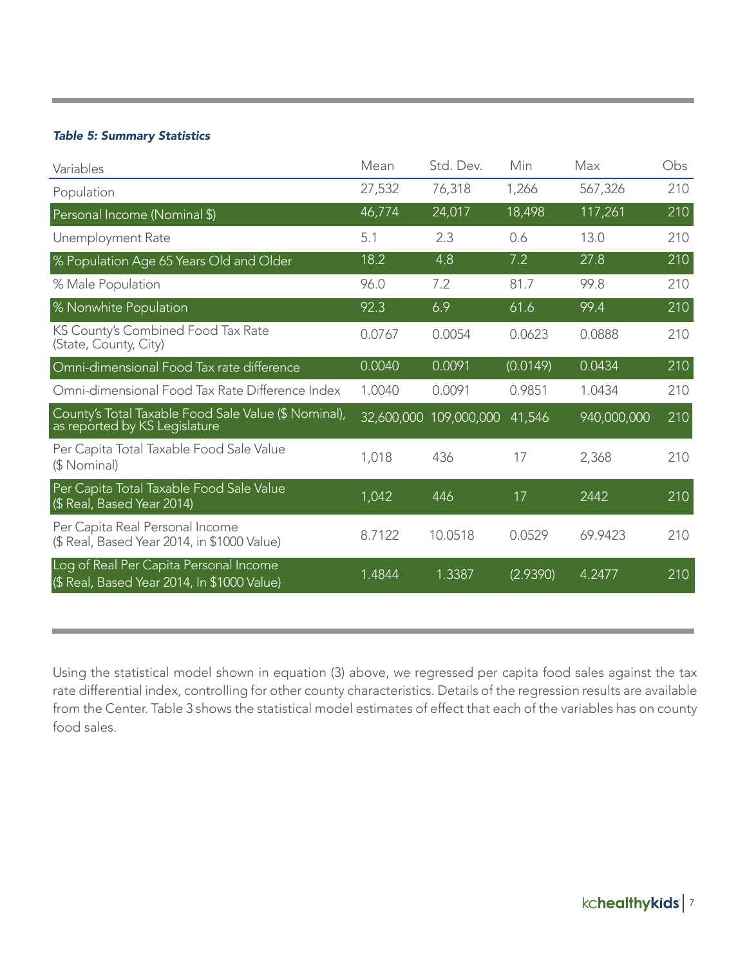#### *Table 5: Summary Statistics*

| Variables                                                                             | Mean   | Std. Dev.              | Min      | Max         | Obs |
|---------------------------------------------------------------------------------------|--------|------------------------|----------|-------------|-----|
| Population                                                                            | 27,532 | 76,318                 | 1,266    | 567,326     | 210 |
| Personal Income (Nominal \$)                                                          | 46,774 | 24,017                 | 18,498   | 117,261     | 210 |
| Unemployment Rate                                                                     | 5.1    | 2.3                    | 0.6      | 13.0        | 210 |
| % Population Age 65 Years Old and Older                                               | 18.2   | 4.8                    | 7.2      | 27.8        | 210 |
| % Male Population                                                                     | 96.0   | 7.2                    | 81.7     | 99.8        | 210 |
| % Nonwhite Population                                                                 | 92.3   | 6.9                    | 61.6     | 99.4        | 210 |
| KS County's Combined Food Tax Rate<br>(State, County, City)                           | 0.0767 | 0.0054                 | 0.0623   | 0.0888      | 210 |
| Omni-dimensional Food Tax rate difference                                             | 0.0040 | 0.0091                 | (0.0149) | 0.0434      | 210 |
| Omni-dimensional Food Tax Rate Difference Index                                       | 1.0040 | 0.0091                 | 0.9851   | 1.0434      | 210 |
| County's Total Taxable Food Sale Value (\$ Nominal),<br>as reported by KS Legislature |        | 32,600,000 109,000,000 | 41,546   | 940,000,000 | 210 |
| Per Capita Total Taxable Food Sale Value<br>(\$ Nominal)                              | 1,018  | 436                    | 17       | 2,368       | 210 |
| Per Capita Total Taxable Food Sale Value<br>(\$ Real, Based Year 2014)                | 1,042  | 446                    | 17       | 2442        | 210 |
| Per Capita Real Personal Income<br>(\$ Real, Based Year 2014, in \$1000 Value)        | 8.7122 | 10.0518                | 0.0529   | 69.9423     | 210 |
| Log of Real Per Capita Personal Income<br>(\$ Real, Based Year 2014, In \$1000 Value) | 1.4844 | 1.3387                 | (2.9390) | 4.2477      | 210 |

Using the statistical model shown in equation (3) above, we regressed per capita food sales against the tax rate differential index, controlling for other county characteristics. Details of the regression results are available from the Center. Table 3 shows the statistical model estimates of effect that each of the variables has on county food sales.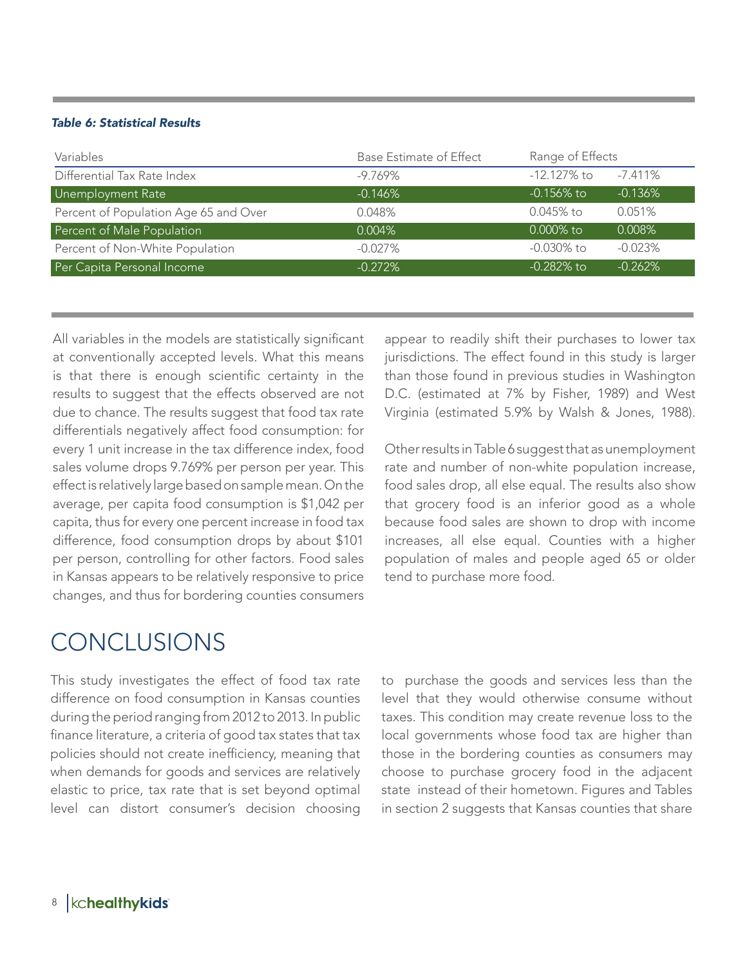#### *Table 6: Statistical Results*

| Variables                             | Base Estimate of Effect | Range of Effects |            |
|---------------------------------------|-------------------------|------------------|------------|
| Differential Tax Rate Index           | $-9.769\%$              | $-12.127\%$ to   | $-7.411\%$ |
| Unemployment Rate                     | $-0.146%$               | $-0.156\%$ to    | $-0.136%$  |
| Percent of Population Age 65 and Over | 0.048%                  | $0.045%$ to      | 0.051%     |
| Percent of Male Population            | $0.004\%$               | $0.000\%$ to     | $0.008\%$  |
| Percent of Non-White Population       | $-0.027\%$              | -0.030% to       | $-0.023%$  |
| Per Capita Personal Income            | $-0.272%$               | $-0.282\%$ to    | $-0.262%$  |

1.4844

All variables in the models are statistically significant at conventionally accepted levels. What this means is that there is enough scientific certainty in the results to suggest that the effects observed are not due to chance. The results suggest that food tax rate differentials negatively affect food consumption: for every 1 unit increase in the tax difference index, food sales volume drops 9.769% per person per year. This effect is relatively large based on sample mean. On the average, per capita food consumption is \$1,042 per capita, thus for every one percent increase in food tax difference, food consumption drops by about \$101 per person, controlling for other factors. Food sales in Kansas appears to be relatively responsive to price changes, and thus for bordering counties consumers

### **CONCLUSIONS**

This study investigates the effect of food tax rate difference on food consumption in Kansas counties during the period ranging from 2012 to 2013. In public finance literature, a criteria of good tax states that tax policies should not create inefficiency, meaning that when demands for goods and services are relatively elastic to price, tax rate that is set beyond optimal level can distort consumer's decision choosing

appear to readily shift their purchases to lower tax jurisdictions. The effect found in this study is larger than those found in previous studies in Washington D.C. (estimated at 7% by Fisher, 1989) and West Virginia (estimated 5.9% by Walsh & Jones, 1988).

Other results in Table 6 suggest that as unemployment rate and number of non-white population increase, food sales drop, all else equal. The results also show that grocery food is an inferior good as a whole because food sales are shown to drop with income increases, all else equal. Counties with a higher population of males and people aged 65 or older tend to purchase more food.

to purchase the goods and services less than the level that they would otherwise consume without taxes. This condition may create revenue loss to the local governments whose food tax are higher than those in the bordering counties as consumers may choose to purchase grocery food in the adjacent state instead of their hometown. Figures and Tables in section 2 suggests that Kansas counties that share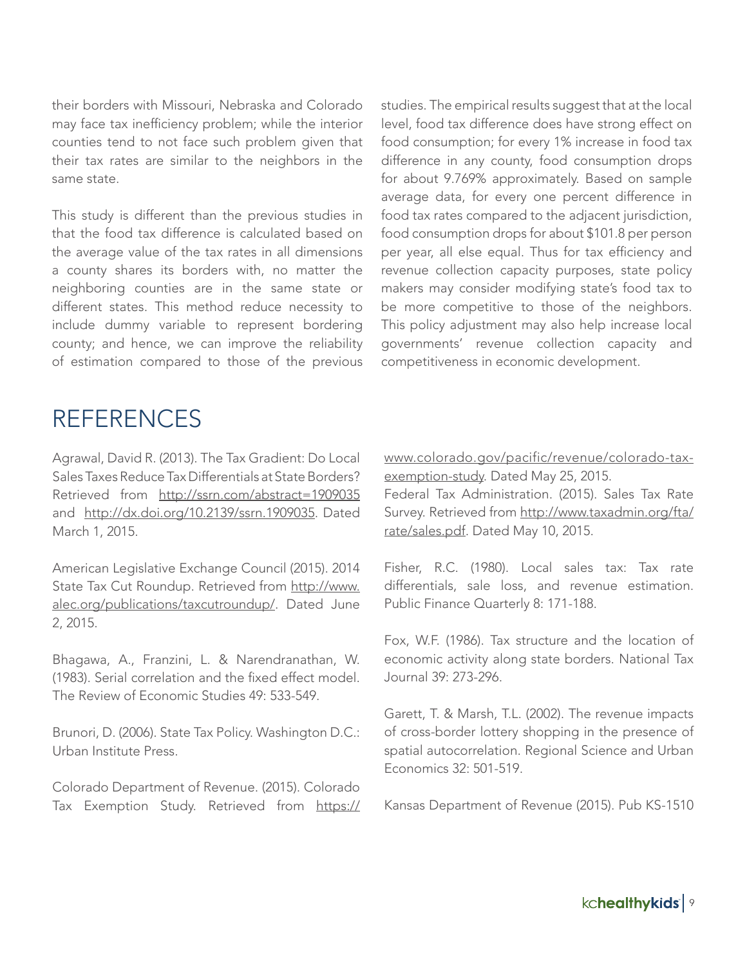their borders with Missouri, Nebraska and Colorado may face tax inefficiency problem; while the interior counties tend to not face such problem given that their tax rates are similar to the neighbors in the same state.

This study is different than the previous studies in that the food tax difference is calculated based on the average value of the tax rates in all dimensions a county shares its borders with, no matter the neighboring counties are in the same state or different states. This method reduce necessity to include dummy variable to represent bordering county; and hence, we can improve the reliability of estimation compared to those of the previous

studies. The empirical results suggest that at the local level, food tax difference does have strong effect on food consumption; for every 1% increase in food tax difference in any county, food consumption drops for about 9.769% approximately. Based on sample average data, for every one percent difference in food tax rates compared to the adjacent jurisdiction, food consumption drops for about \$101.8 per person per year, all else equal. Thus for tax efficiency and revenue collection capacity purposes, state policy makers may consider modifying state's food tax to be more competitive to those of the neighbors. This policy adjustment may also help increase local governments' revenue collection capacity and competitiveness in economic development.

### REFERENCES

Agrawal, David R. (2013). The Tax Gradient: Do Local Sales Taxes Reduce Tax Differentials at State Borders? Retrieved from http://ssrn.com/abstract=1909035 and http://dx.doi.org/10.2139/ssrn.1909035. Dated March 1, 2015.

American Legislative Exchange Council (2015). 2014 State Tax Cut Roundup. Retrieved from http://www. alec.org/publications/taxcutroundup/. Dated June 2, 2015.

Bhagawa, A., Franzini, L. & Narendranathan, W. (1983). Serial correlation and the fixed effect model. The Review of Economic Studies 49: 533-549.

Brunori, D. (2006). State Tax Policy. Washington D.C.: Urban Institute Press.

Colorado Department of Revenue. (2015). Colorado Tax Exemption Study. Retrieved from https:// www.colorado.gov/pacific/revenue/colorado-taxexemption-study. Dated May 25, 2015.

Federal Tax Administration. (2015). Sales Tax Rate Survey. Retrieved from http://www.taxadmin.org/fta/ rate/sales.pdf. Dated May 10, 2015.

Fisher, R.C. (1980). Local sales tax: Tax rate differentials, sale loss, and revenue estimation. Public Finance Quarterly 8: 171-188.

Fox, W.F. (1986). Tax structure and the location of economic activity along state borders. National Tax Journal 39: 273-296.

Garett, T. & Marsh, T.L. (2002). The revenue impacts of cross-border lottery shopping in the presence of spatial autocorrelation. Regional Science and Urban Economics 32: 501-519.

Kansas Department of Revenue (2015). Pub KS-1510

kchealthykids | 9